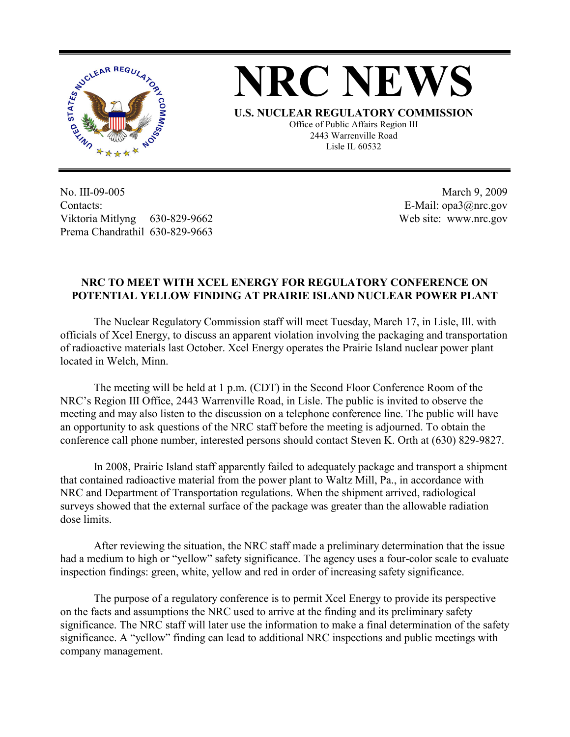

## **NRC NEWS**

**U.S. NUCLEAR REGULATORY COMMISSION** Office of Public Affairs Region III 2443 Warrenville Road Lisle IL 60532

No. III-09-005 Contacts: Viktoria Mitlyng 630-829-9662 Prema Chandrathil 630-829-9663

 March 9, 2009 E-Mail: opa3@nrc.gov Web site: www.nrc.gov

## **NRC TO MEET WITH XCEL ENERGY FOR REGULATORY CONFERENCE ON POTENTIAL YELLOW FINDING AT PRAIRIE ISLAND NUCLEAR POWER PLANT**

 The Nuclear Regulatory Commission staff will meet Tuesday, March 17, in Lisle, Ill. with officials of Xcel Energy, to discuss an apparent violation involving the packaging and transportation of radioactive materials last October. Xcel Energy operates the Prairie Island nuclear power plant located in Welch, Minn.

 The meeting will be held at 1 p.m. (CDT) in the Second Floor Conference Room of the NRC's Region III Office, 2443 Warrenville Road, in Lisle. The public is invited to observe the meeting and may also listen to the discussion on a telephone conference line. The public will have an opportunity to ask questions of the NRC staff before the meeting is adjourned. To obtain the conference call phone number, interested persons should contact Steven K. Orth at (630) 829-9827.

In 2008, Prairie Island staff apparently failed to adequately package and transport a shipment that contained radioactive material from the power plant to Waltz Mill, Pa., in accordance with NRC and Department of Transportation regulations. When the shipment arrived, radiological surveys showed that the external surface of the package was greater than the allowable radiation dose limits.

After reviewing the situation, the NRC staff made a preliminary determination that the issue had a medium to high or "yellow" safety significance. The agency uses a four-color scale to evaluate inspection findings: green, white, yellow and red in order of increasing safety significance.

The purpose of a regulatory conference is to permit Xcel Energy to provide its perspective on the facts and assumptions the NRC used to arrive at the finding and its preliminary safety significance. The NRC staff will later use the information to make a final determination of the safety significance. A "yellow" finding can lead to additional NRC inspections and public meetings with company management.